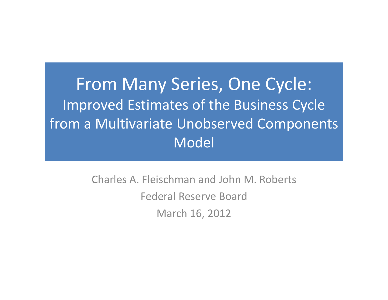From Many Series, One Cycle: Improved Estimates of the Business Cycle from <sup>a</sup> Multivariate Unobserved Components Model

> Charles A. Fleischman and John M. Roberts Federal Reserve BoardMarch 16, 2012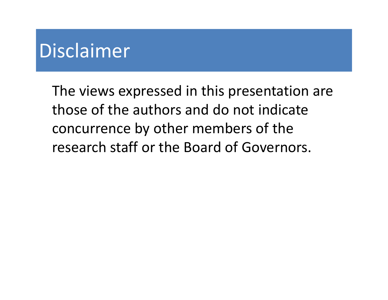## Disclaimer

The views expressed in this presentation are those of the authors and do not indicate concurrence by other members of the research staff or the Board of Governors.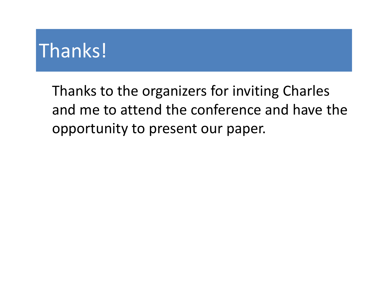# Thanks!

Thanks to the organizers for inviting Charles and me to attend the conference and have the opportunity to present our paper.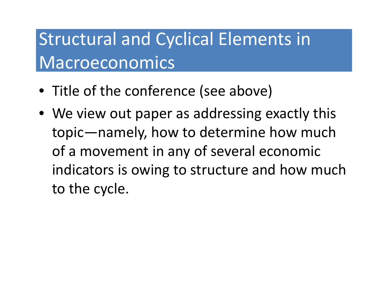## Structural and Cyclical Elements in Macroeconomics

- Title of the conference (see above)
- We view out paper as addressing exactly this topic—namely, how to determine how much of a movement in any of several economic indicators is owing to structure and how much to the cycle.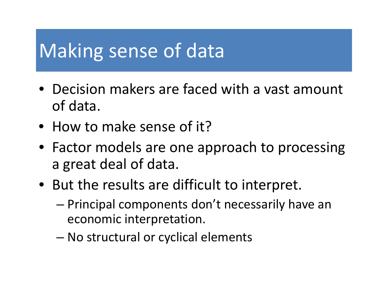# Making sense of data

- Decision makers are faced with <sup>a</sup> vast amount of data.
- How to make sense of it?
- Factor models are one approach to processing a great deal of data.
- But the results are difficult to interpret.
	- Principal components don't necessarily have an economic interpretation.
	- –No structural or cyclical elements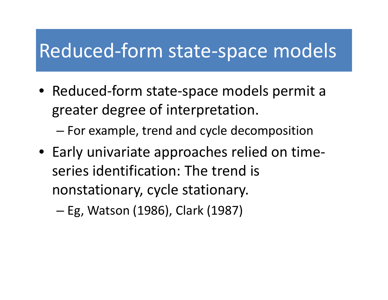### Reduced-form state-space models

● Reduced-form state-space models permit a greater degree of interpretation.

– $-$  For example, trend and cycle decomposition

• Early univariate approaches relied on time‐ series identification: The trend is nonstationary, cycle stationary.

–– Eg, Watson (1986), Clark (1987)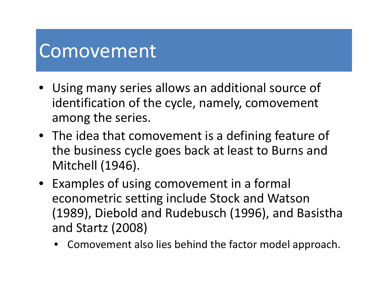### Comovement

- Using many series allows an additional source of identification of the cycle, namely, comovement among the series.
- $\bullet~$  The idea that comovement is a defining feature of the business cycle goes back at least to Burns and Mitchell (1946).
- Examples of using comovement in <sup>a</sup> formal econometric setting include Stock and Watson (1989), Diebold and Rudebusch (1996), and Basistha and Startz (2008)
	- $\bullet$  Comovement also lies behind the factor model approach.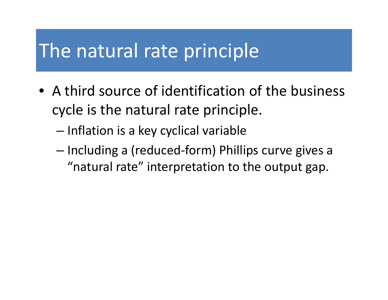### The natural rate principle

- $\bullet$  A third source of identification of the business cycle is the natural rate principle.
	- – $-$  Inflation is a key cyclical variable
	- –— Including a (reduced-form) Phillips curve gives a "natural rate" interpretation to the output gap.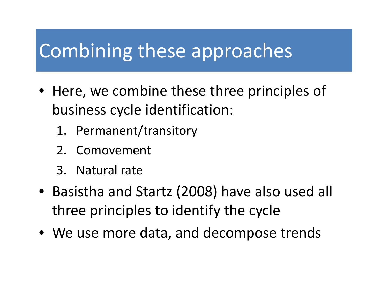## Combining these approaches

- Here, we combine these three principles of business cycle identification:
	- 1. Permanent/transitory
	- 2. Comovement
	- 3. Natural rate
- Basistha and Startz (2008) have also used all three principles to identify the cycle
- We use more data, and decompose trends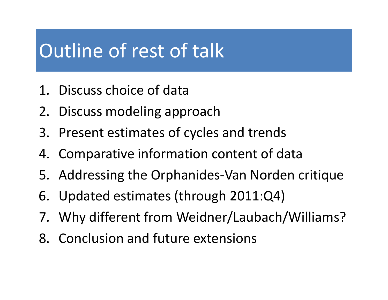## Outline of rest of talk

- 1. Discuss choice of data
- 2. Discuss modeling approach
- 3. Present estimates of cycles and trends
- 4. Comparative information content of data
- 5. Addressing the Orphanides‐Van Norden critique
- 6. Updated estimates (through 2011:Q4)
- 7. Why different from Weidner/Laubach/Williams?
- 8. Conclusion and future extensions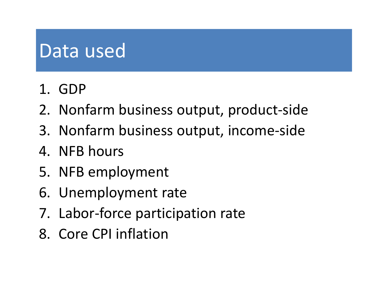# Data used

- 1. GDP
- 2. Nonfarm business output, product‐side
- 3. Nonfarm business output, income‐side
- 4. NFB hours
- 5. NFB employment
- 6. Unemployment rate
- 7. Labor‐force participation rate
- 8. Core CPI inflation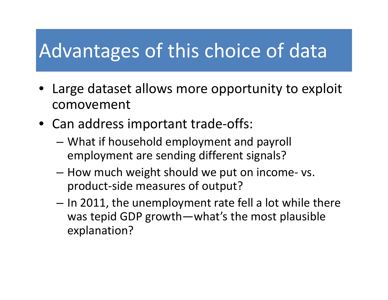# Advantages of this choice of data

- Large dataset allows more opportunity to exploit comovement
- Can address important trade‐offs:
	- – What if household employment and payroll employment are sending different signals?
	- $-$  How much weight should we put on income- vs. product‐side measures of output?
	- – $-$  In 2011, the unemployment rate fell a lot while there was tepid GDP growth—what's the most plausible explanation?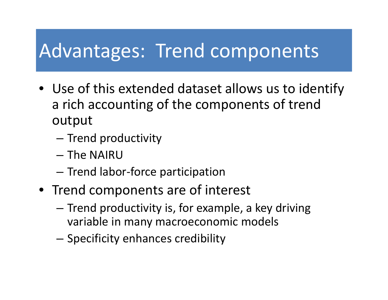## Advantages: Trend components

- Use of this extended dataset allows us to identify a rich accounting of the components of trend output
	- –— Trend productivity
	- The NAIRU
	- –- Trend labor-force participation
- Trend components are of interest
	- – $-$  Trend productivity is, for example, a key driving variable in many macroeconomic models
	- –– Specificity enhances credibility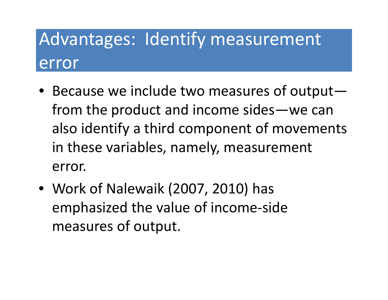# Advantages: Identify measurement error

- Because we include two measures of output from the product and income sides—we can also identify <sup>a</sup> third component of movements in these variables, namely, measurement error.
- Work of Nalewaik (2007, 2010) has emphasized the value of income‐side measures of output.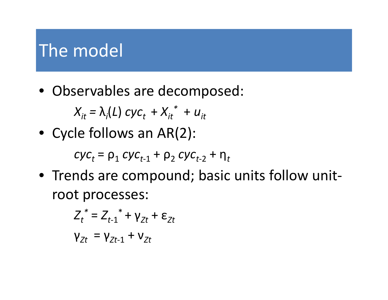### The model

• Observables are decomposed:

$$
X_{it} = \lambda_i(L) \, cyc_t + X_{it}^* + u_{it}
$$

• Cycle follows an AR(2):

*cyc<sub>t</sub>* = ρ<sub>1</sub> *cyc<sub>t-1</sub>* + ρ<sub>2</sub> *cyc<sub>t-2</sub>* + η<sub>t</sub>

• Trends are compound; basic units follow unit‐ root processes:

$$
Z_t^* = Z_{t-1}^* + \gamma_{Zt} + \varepsilon_{Zt}
$$

$$
\gamma_{Zt} = \gamma_{Zt-1} + \nu_{Zt}
$$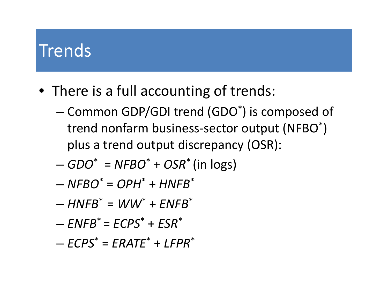### **Trends**

- There is <sup>a</sup> full accounting of trends:
	- – $-$  Common GDP/GDI trend (GDO $^{\ast}$ ) is composed of trend nonfarm business-sector output (NFBO $^\ast$ ) plus <sup>a</sup> trend output discrepancy (OSR):
	- *GDO*\* <sup>=</sup> *NFBO*\* <sup>+</sup> *OSR*\* (in logs)
	- *NFBO*\* <sup>=</sup> *OPH*\* <sup>+</sup> *HNFB*\*
	- *HNFB*\* <sup>=</sup> *WW*\* <sup>+</sup> *ENFB* \*
	- *ENFB*\* <sup>=</sup> *ECPS*\* <sup>+</sup> *ESR*\*
	- *ECPS*\* <sup>=</sup> *ERATE*\* <sup>+</sup> *LFPR*\*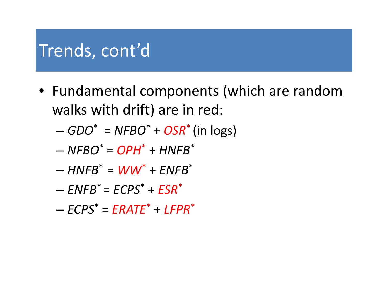### Trends, cont'd

- Fundamental components (which are random walks with drift) are in red:
	- –*GDO*\* <sup>=</sup> *NFBO*\* <sup>+</sup> *OSR*\* (in logs)
	- *NFBO*\* <sup>=</sup> *OPH*\* <sup>+</sup> *HNFB*\*
	- $-HNFB^* = WW^* + ENFB^*$
	- *ENFB*\* <sup>=</sup> *ECPS*\* <sup>+</sup> *ESR*\*
	- *ECPS*\* *= ERATE*\* + *LFPR*\*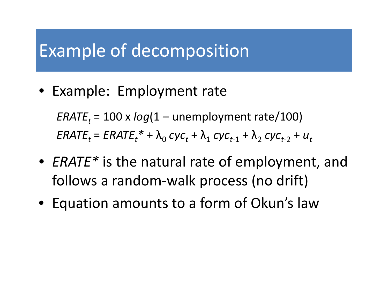### Example of decomposition

• Example: Employment rate

*ERATEt* <sup>=</sup> <sup>100</sup> <sup>x</sup> *log*(1 – unemployment rate/100)  $ERATE_t = ERATE_t^* + \lambda_0\ cyc_t + \lambda_1\ cyc_{t\text{-}1} + \lambda_2\ cyc_{t\text{-}2} + u_t$ 

- *ERATE\** is the natural rate of employment, and follows a random‐walk process (no drift)
- $\bullet~$  Equation amounts to a form of Okun's law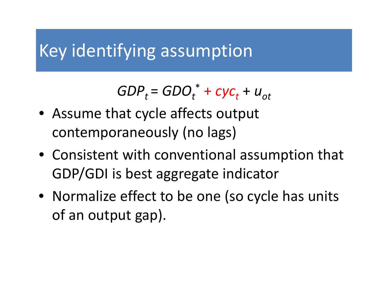### Key identifying assumption

 $GDP_t$  =  $GDO_t^*$  +  $cyc_t$  +  $u_{ot}$ 

- Assume that cycle affects output contemporaneously (no lags)
- Consistent with conventional assumption that GDP/GDI is best aggregate indicator
- Normalize effect to be one (so cycle has units of an output gap).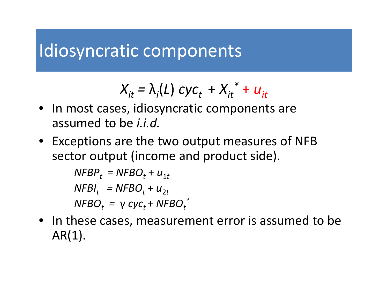#### Idiosyncratic components

$$
X_{it} = \lambda_i(L) cyc_t + X_{it}^* + u_{it}
$$

- In most cases, idiosyncratic components are assumed to be *i.i.d.*
- Exceptions are the two output measures of NFB sector output (income and product side).

```
\mathsf{NFBP}_t = \mathsf{NFBO}_t + u_{1t}\mathsf{NFBI}_t = \mathsf{NFBO}_t + u_{2t}NFBO_t = γ cyc_t + NFBO_t ^*
```
• In these cases, measurement error is assumed to be  $AR(1)$ .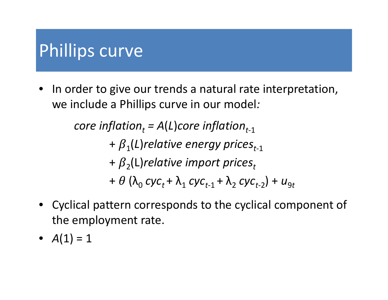### Phillips curve

• In order to give our trends a natural rate interpretation, we include <sup>a</sup> Phillips curve in our model*:*

> $\boldsymbol{c}$  *core <code>inflation</code>*  $_{t}$  *= A(L)* $\boldsymbol{c}$  *<i>ore <code>inflation</code>*  $_{t\text{-}1}$ +  $\beta$ <sub>1</sub>(L)relative energy prices<sub>t-1</sub> +  $\boldsymbol{\beta}_2$ (L) $\boldsymbol{relative}$  *import prices* $_t$ +  $\theta$  ( $\lambda$ <sub>0</sub> *cyc*<sub>t</sub> +  $\lambda$ <sub>1</sub> *cyc*<sub>t-1</sub> +  $\lambda$ <sub>2</sub> *cyc*<sub>t-2</sub>) +  $u_{9t}$

- Cyclical pattern corresponds to the cyclical component of the employment rate.
- $A(1) = 1$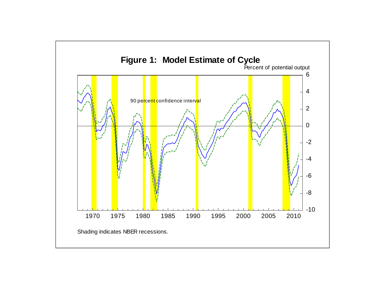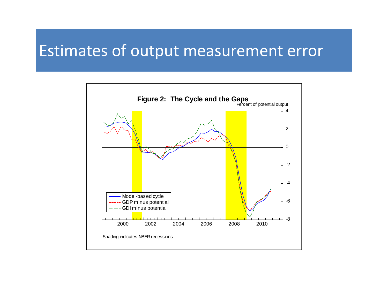#### Estimates of output measurement error

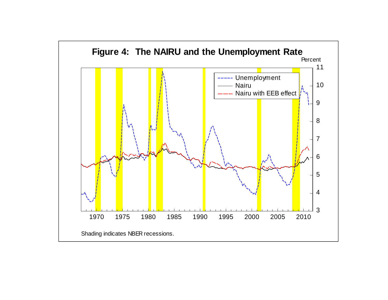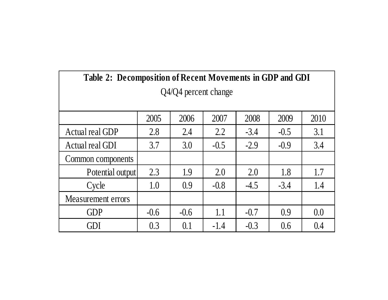| Table 2: Decomposition of Recent Movements in GDP and GDI |        |        |        |        |        |      |  |  |  |  |  |  |
|-----------------------------------------------------------|--------|--------|--------|--------|--------|------|--|--|--|--|--|--|
| Q4/Q4 percent change                                      |        |        |        |        |        |      |  |  |  |  |  |  |
|                                                           |        |        |        |        |        |      |  |  |  |  |  |  |
|                                                           | 2005   | 2006   | 2007   | 2008   | 2009   | 2010 |  |  |  |  |  |  |
| Actual real GDP                                           | 2.8    | 2.4    | 2.2    | $-3.4$ | $-0.5$ | 3.1  |  |  |  |  |  |  |
| Actual real GDI                                           | 3.7    | 3.0    | $-0.5$ | $-2.9$ | $-0.9$ | 3.4  |  |  |  |  |  |  |
| Common components                                         |        |        |        |        |        |      |  |  |  |  |  |  |
| Potential output                                          | 2.3    | 1.9    | 2.0    | 2.0    | 1.8    | 1.7  |  |  |  |  |  |  |
| Cycle                                                     | 1.0    | 0.9    | $-0.8$ | $-4.5$ | $-3.4$ | 1.4  |  |  |  |  |  |  |
| Measurement errors                                        |        |        |        |        |        |      |  |  |  |  |  |  |
| <b>GDP</b>                                                | $-0.6$ | $-0.6$ | 1.1    | $-0.7$ | 0.9    | 0.0  |  |  |  |  |  |  |
| GDI                                                       | 0.3    | 0.1    | $-1.4$ | $-0.3$ | 0.6    | 0.4  |  |  |  |  |  |  |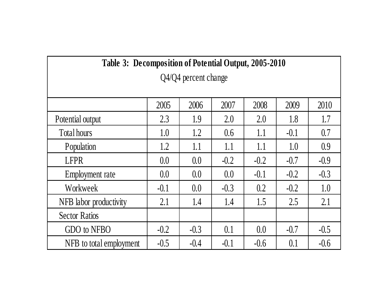| Table 3: Decomposition of Potential Output, 2005-2010 |        |        |        |        |        |        |  |  |  |  |  |  |
|-------------------------------------------------------|--------|--------|--------|--------|--------|--------|--|--|--|--|--|--|
| Q4/Q4 percent change                                  |        |        |        |        |        |        |  |  |  |  |  |  |
|                                                       |        |        |        |        |        |        |  |  |  |  |  |  |
|                                                       | 2005   | 2006   | 2007   | 2008   | 2009   | 2010   |  |  |  |  |  |  |
| Potential output                                      | 2.3    | 1.9    | 2.0    | 2.0    | 1.8    | 1.7    |  |  |  |  |  |  |
| Total hours                                           | 1.0    | 1.2    | 0.6    | 1.1    | $-0.1$ | 0.7    |  |  |  |  |  |  |
| Population                                            | 1.2    | 1.1    | 1.1    | 1.1    | 1.0    | 0.9    |  |  |  |  |  |  |
| <b>LFPR</b>                                           | 0.0    | 0.0    | $-0.2$ | $-0.2$ | $-0.7$ | $-0.9$ |  |  |  |  |  |  |
| Employment rate                                       | 0.0    | 0.0    | 0.0    | $-0.1$ | $-0.2$ | $-0.3$ |  |  |  |  |  |  |
| Workweek                                              | $-0.1$ | 0.0    | $-0.3$ | 0.2    | $-0.2$ | 1.0    |  |  |  |  |  |  |
| NFB labor productivity                                | 2.1    | 1.4    | 1.4    | 1.5    | 2.5    | 2.1    |  |  |  |  |  |  |
| <b>Sector Ratios</b>                                  |        |        |        |        |        |        |  |  |  |  |  |  |
| GDO to NFBO                                           | $-0.2$ | $-0.3$ | 0.1    | 0.0    | $-0.7$ | $-0.5$ |  |  |  |  |  |  |
| NFB to total employment                               | $-0.5$ | $-0.4$ | $-0.1$ | $-0.6$ | 0.1    | $-0.6$ |  |  |  |  |  |  |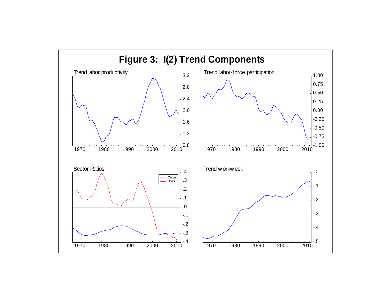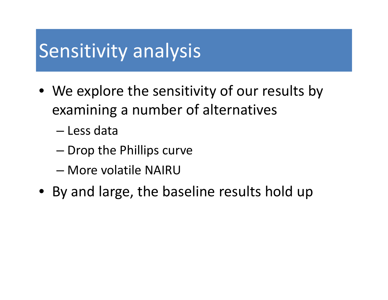### Sensitivity analysis

- We explore the sensitivity of our results by examining <sup>a</sup> number of alternatives
	- Less data
	- – $-$  Drop the Phillips curve
	- More volatile NAIRU
- By and large, the baseline results hold up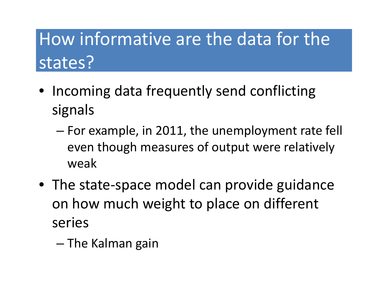# How informative are the data for the states?

- Incoming data frequently send conflicting signals
	- – $-$  For example, in 2011, the unemployment rate fell even though measures of output were relatively weak
- The state‐space model can provide guidance on how much weight to place on different series
	- The Kalman gain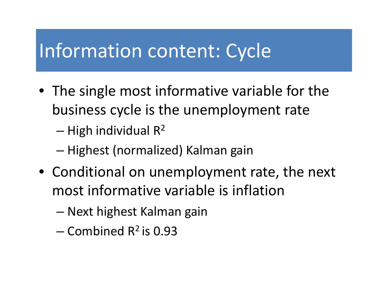### Information content: Cycle

- The single most informative variable for the business cycle is the unemployment rate
	- – $-$  High individual R<sup>2</sup>
	- –— Highest (normalized) Kalman gain
- $\bullet$  Conditional on unemployment rate, the next most informative variable is inflation
	- Next highest Kalman gain
	- $-$  Combined R<sup>2</sup> is 0.93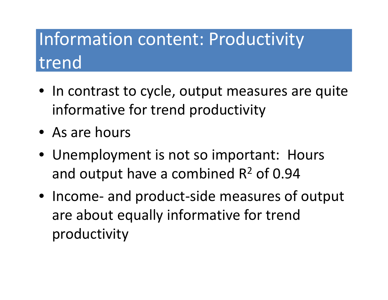## Information content: Productivity trend

- In contrast to cycle, output measures are quite informative for trend productivity
- As are hours
- Unemployment is not so important: Hours and output have a combined R<sup>2</sup> of 0.94
- Income‐ and product‐side measures of output are about equally informative for trend productivity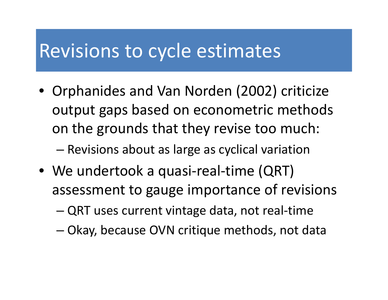### Revisions to cycle estimates

• Orphanides and Van Norden (2002) criticize output gaps based on econometric methods on the grounds that they revise too much:

Revisions about as large as cyclical variation

- We undertook <sup>a</sup> quasi‐real‐time (QRT) assessment to gauge importance of revisions
	- –QRT uses current vintage data, not real‐time
	- –Okay, because OVN critique methods, not data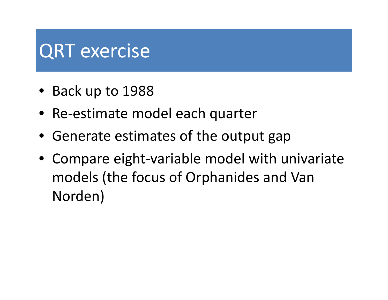# QRT exercise

- Back up to 1988
- Re‐estimate model each quarter
- Generate estimates of the output gap
- Compare eight‐variable model with univariate models (the focus of Orphanides and Van Norden)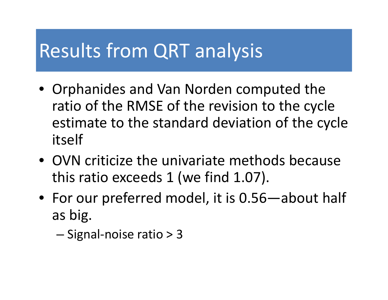### Results from QRT analysis

- Orphanides and Van Norden computed the ratio of the RMSE of the revision to the cycle estimate to the standard deviation of the cycle itself
- OVN criticize the univariate methods because this ratio exceeds 1 (we find 1.07).
- For our preferred model, it is 0.56—about half as big.
	- Signal-noise ratio > 3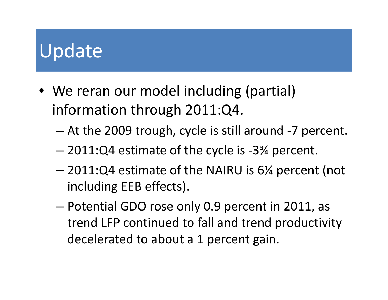# Update

- We reran our model including (partial) information through 2011:Q4.
	- – $-$  At the 2009 trough, cycle is still around -7 percent.
	- –2011:Q4 estimate of the cycle is ‐3¾ percent.
	- – 2011:Q4 estimate of the NAIRU is 6¼ percent (not including EEB effects).
	- Potential GDO rose only 0.9 percent in 2011, as trend LFP continued to fall and trend productivity decelerated to about <sup>a</sup> 1 percent gain.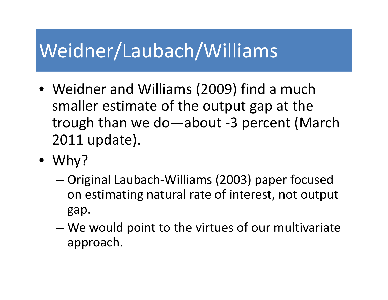## Weidner/Laubach/Williams

- Weidner and Williams (2009) find a much smaller estimate of the output gap at the trough than we do—about ‐ 3 percent (March 2011 update).
- Why?
	- – Original Laubach ‐Williams (2003) paper focused on estimating natural rate of interest, not output gap.
	- – We would point to the virtues of our multivariate approach.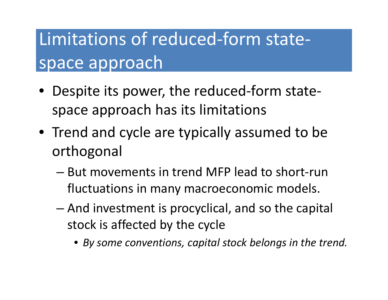## Limitations of reduced‐form state‐ space approach

- Despite its power, the reduced-form statespace approach has its limitations
- Trend and cycle are typically assumed to be orthogonal
	- $-$  But movements in trend MFP lead to short-run fluctuations in many macroeconomic models.
	- $-$  And investment is procyclical, and so the capital stock is affected by the cycle
		- *By some conventions conventions, capital stock belongs in the trend.*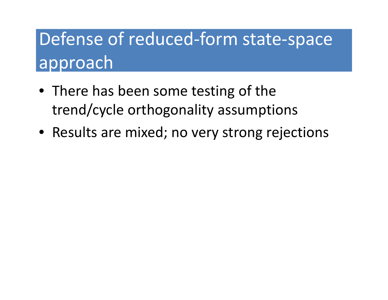## Defense of reduced‐form state‐space approach

- There has been some testing of the trend/cycle orthogonality assumptions
- Results are mixed; no very strong rejections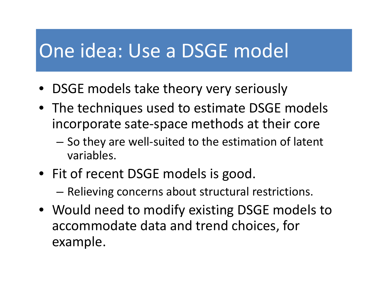### One idea: Use <sup>a</sup> DSGE model

- DSGE models take theory very seriously
- The techniques used to estimate DSGE models incorporate sate‐space methods at their core
	- –— So they are well-suited to the estimation of latent variables.
- Fit of recent DSGE models is good.
	- –— Relieving concerns about structural restrictions.
- Would need to modify existing DSGE models to accommodate data and trend choices, for example.